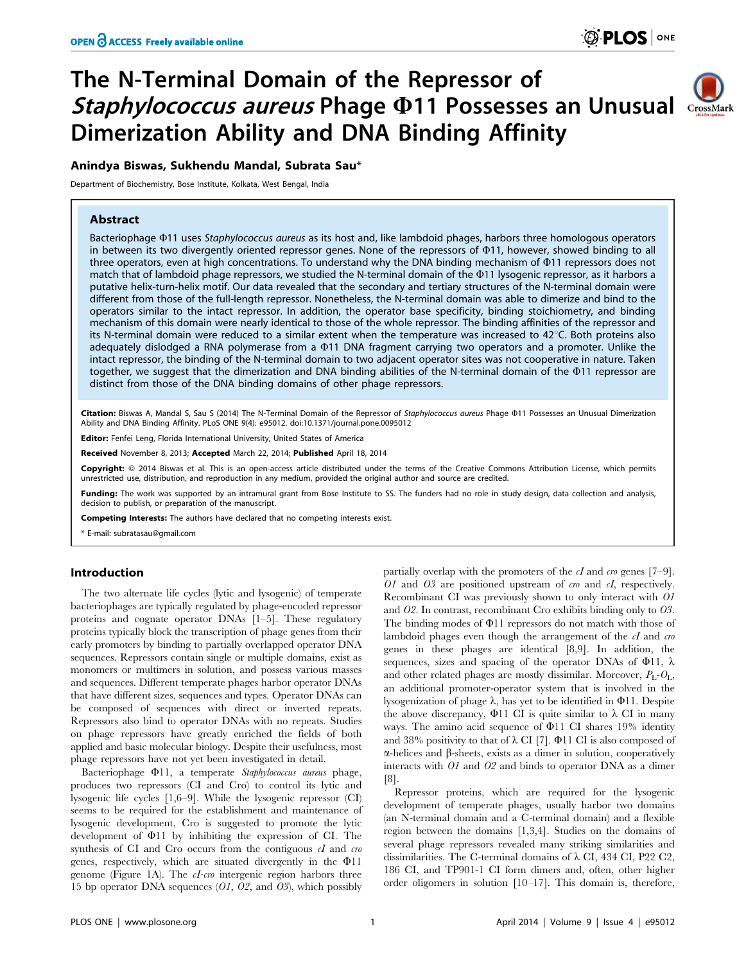# The N-Terminal Domain of the Repressor of Staphylococcus aureus Phage @11 Possesses an Unusual CrossMark Dimerization Ability and DNA Binding Affinity

# Anindya Biswas, Sukhendu Mandal, Subrata Sau\*

Department of Biochemistry, Bose Institute, Kolkata, West Bengal, India

# Abstract

Bacteriophage @11 uses Staphylococcus aureus as its host and, like lambdoid phages, harbors three homologous operators in between its two divergently oriented repressor genes. None of the repressors of  $\Phi$ 11, however, showed binding to all three operators, even at high concentrations. To understand why the DNA binding mechanism of  $\Phi$ 11 repressors does not match that of lambdoid phage repressors, we studied the N-terminal domain of the  $\Phi$ 11 lysogenic repressor, as it harbors a putative helix-turn-helix motif. Our data revealed that the secondary and tertiary structures of the N-terminal domain were different from those of the full-length repressor. Nonetheless, the N-terminal domain was able to dimerize and bind to the operators similar to the intact repressor. In addition, the operator base specificity, binding stoichiometry, and binding mechanism of this domain were nearly identical to those of the whole repressor. The binding affinities of the repressor and its N-terminal domain were reduced to a similar extent when the temperature was increased to  $42^{\circ}$ C. Both proteins also adequately dislodged a RNA polymerase from a  $\Phi$ 11 DNA fragment carrying two operators and a promoter. Unlike the intact repressor, the binding of the N-terminal domain to two adjacent operator sites was not cooperative in nature. Taken together, we suggest that the dimerization and DNA binding abilities of the N-terminal domain of the W11 repressor are distinct from those of the DNA binding domains of other phage repressors.

Citation: Biswas A, Mandal S, Sau S (2014) The N-Terminal Domain of the Repressor of Staphylococcus aureus Phage @11 Possesses an Unusual Dimerization Ability and DNA Binding Affinity. PLoS ONE 9(4): e95012. doi:10.1371/journal.pone.0095012

Editor: Fenfei Leng, Florida International University, United States of America

Received November 8, 2013; Accepted March 22, 2014; Published April 18, 2014

Copyright: @ 2014 Biswas et al. This is an open-access article distributed under the terms of the Creative Commons Attribution License, which permits unrestricted use, distribution, and reproduction in any medium, provided the original author and source are credited.

Funding: The work was supported by an intramural grant from Bose Institute to SS. The funders had no role in study design, data collection and analysis, decision to publish, or preparation of the manuscript.

Competing Interests: The authors have declared that no competing interests exist.

\* E-mail: subratasau@gmail.com

# Introduction

The two alternate life cycles (lytic and lysogenic) of temperate bacteriophages are typically regulated by phage-encoded repressor proteins and cognate operator DNAs [1–5]. These regulatory proteins typically block the transcription of phage genes from their early promoters by binding to partially overlapped operator DNA sequences. Repressors contain single or multiple domains, exist as monomers or multimers in solution, and possess various masses and sequences. Different temperate phages harbor operator DNAs that have different sizes, sequences and types. Operator DNAs can be composed of sequences with direct or inverted repeats. Repressors also bind to operator DNAs with no repeats. Studies on phage repressors have greatly enriched the fields of both applied and basic molecular biology. Despite their usefulness, most phage repressors have not yet been investigated in detail.

Bacteriophage  $\Phi$ 11, a temperate Staphylococcus aureus phage, produces two repressors (CI and Cro) to control its lytic and lysogenic life cycles [1,6–9]. While the lysogenic repressor (CI) seems to be required for the establishment and maintenance of lysogenic development, Cro is suggested to promote the lytic development of  $\Phi$ 11 by inhibiting the expression of CI. The synthesis of CI and Cro occurs from the contiguous  $cI$  and  $\tau r$ genes, respectively, which are situated divergently in the  $\Phi$ 11 genome (Figure 1A). The *cI-cro* intergenic region harbors three 15 bp operator DNA sequences (O1, O2, and O3), which possibly

partially overlap with the promoters of the  $cI$  and  $\cos$  genes [7–9].  $O1$  and  $O3$  are positioned upstream of cro and cI, respectively. Recombinant CI was previously shown to only interact with O1 and O2. In contrast, recombinant Cro exhibits binding only to O3. The binding modes of  $\Phi$ 11 repressors do not match with those of lambdoid phages even though the arrangement of the  $cI$  and  $cro$ genes in these phages are identical [8,9]. In addition, the sequences, sizes and spacing of the operator DNAs of  $\Phi$ 11,  $\lambda$ and other related phages are mostly dissimilar. Moreover,  $P_L$ - $O_L$ , an additional promoter-operator system that is involved in the lysogenization of phage  $\lambda$ , has yet to be identified in  $\Phi$ 11. Despite the above discrepancy,  $\Phi$ 11 CI is quite similar to  $\lambda$  CI in many ways. The amino acid sequence of  $\Phi$ 11 CI shares 19% identity and 38% positivity to that of  $\lambda$  CI [7].  $\Phi$ 11 CI is also composed of  $\alpha$ -helices and  $\beta$ -sheets, exists as a dimer in solution, cooperatively interacts with O1 and O2 and binds to operator DNA as a dimer [8].

Repressor proteins, which are required for the lysogenic development of temperate phages, usually harbor two domains (an N-terminal domain and a C-terminal domain) and a flexible region between the domains [1,3,4]. Studies on the domains of several phage repressors revealed many striking similarities and dissimilarities. The C-terminal domains of  $\lambda$  CI, 434 CI, P22 C2, 186 CI, and TP901-1 CI form dimers and, often, other higher order oligomers in solution [10–17]. This domain is, therefore,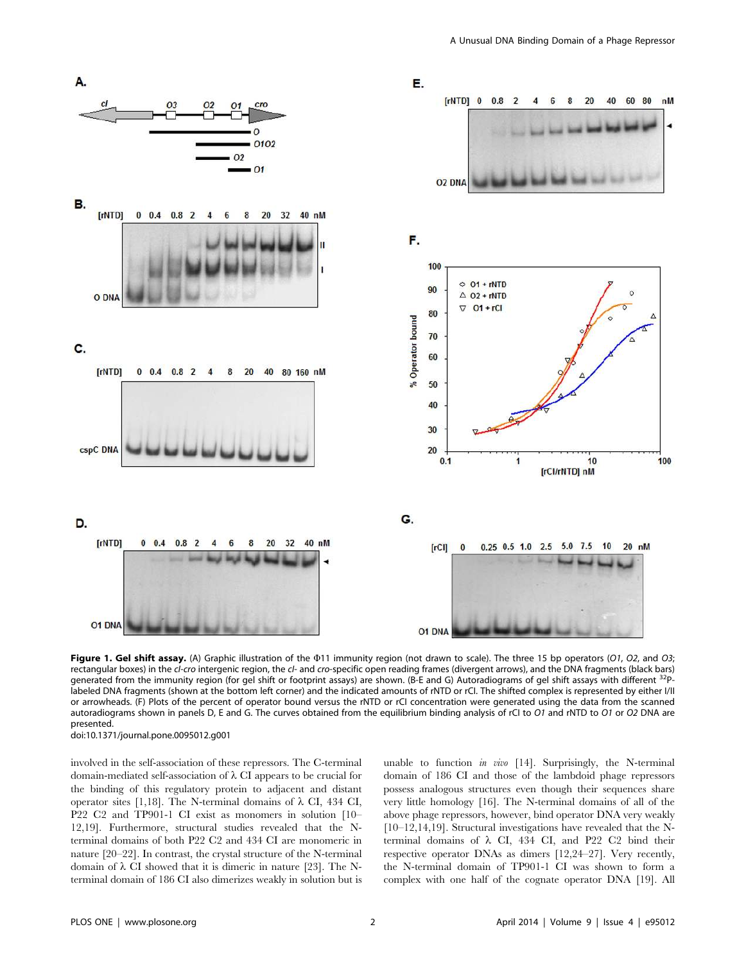

Figure 1. Gel shift assay. (A) Graphic illustration of the  $\Phi$ 11 immunity region (not drawn to scale). The three 15 bp operators (O1, O2, and O3; rectangular boxes) in the cl-cro intergenic region, the cl- and cro-specific open reading frames (divergent arrows), and the DNA fragments (black bars) generated from the immunity region (for gel shift or footprint assays) are shown. (B-E and G) Autoradiograms of gel shift assays with different  $\frac{3}{2}$ labeled DNA fragments (shown at the bottom left corner) and the indicated amounts of rNTD or rCI. The shifted complex is represented by either I/II or arrowheads. (F) Plots of the percent of operator bound versus the rNTD or rCI concentration were generated using the data from the scanned autoradiograms shown in panels D, E and G. The curves obtained from the equilibrium binding analysis of rCI to O1 and rNTD to O1 or O2 DNA are presented. doi:10.1371/journal.pone.0095012.g001

involved in the self-association of these repressors. The C-terminal domain-mediated self-association of  $\lambda$  CI appears to be crucial for the binding of this regulatory protein to adjacent and distant operator sites [1,18]. The N-terminal domains of  $\lambda$  CI, 434 CI, P22 C2 and TP901-1 CI exist as monomers in solution [10– 12,19]. Furthermore, structural studies revealed that the Nterminal domains of both P22 C2 and 434 CI are monomeric in nature [20–22]. In contrast, the crystal structure of the N-terminal domain of  $\lambda$  CI showed that it is dimeric in nature [23]. The Nterminal domain of 186 CI also dimerizes weakly in solution but is unable to function in vivo  $[14]$ . Surprisingly, the N-terminal domain of 186 CI and those of the lambdoid phage repressors possess analogous structures even though their sequences share very little homology [16]. The N-terminal domains of all of the above phage repressors, however, bind operator DNA very weakly [10–12,14,19]. Structural investigations have revealed that the Nterminal domains of  $\lambda$  CI, 434 CI, and P22 C2 bind their respective operator DNAs as dimers [12,24–27]. Very recently, the N-terminal domain of TP901-1 CI was shown to form a complex with one half of the cognate operator DNA [19]. All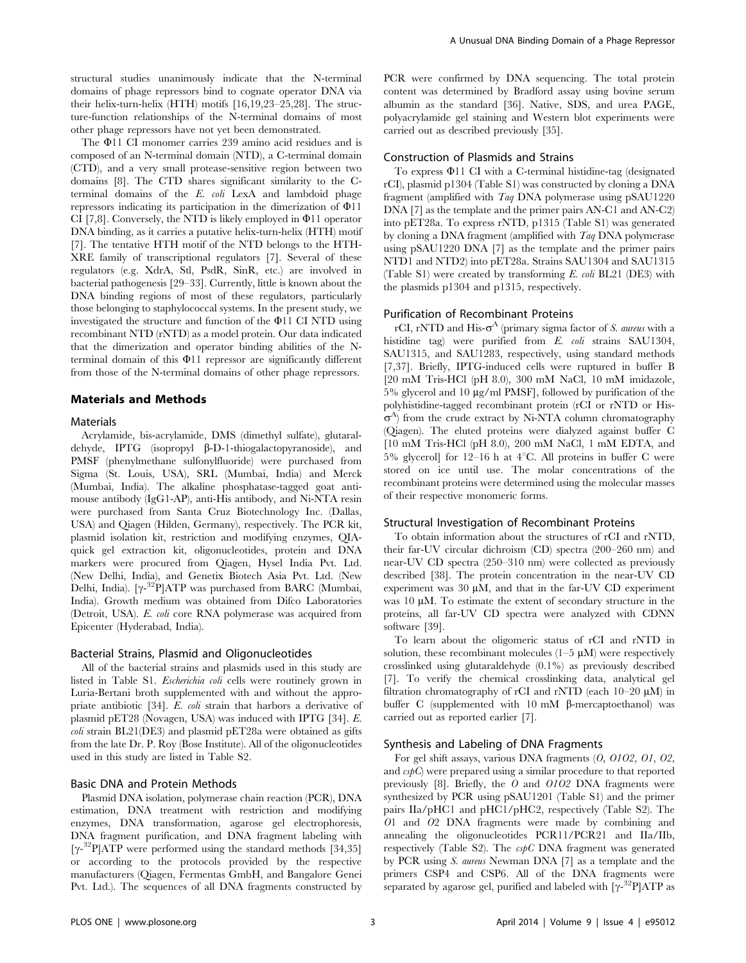structural studies unanimously indicate that the N-terminal domains of phage repressors bind to cognate operator DNA via their helix-turn-helix (HTH) motifs [16,19,23–25,28]. The structure-function relationships of the N-terminal domains of most other phage repressors have not yet been demonstrated.

The  $\Phi$ 11 CI monomer carries 239 amino acid residues and is composed of an N-terminal domain (NTD), a C-terminal domain (CTD), and a very small protease-sensitive region between two domains [8]. The CTD shares significant similarity to the Cterminal domains of the E. coli LexA and lambdoid phage repressors indicating its participation in the dimerization of  $\Phi$ 11 CI [7,8]. Conversely, the NTD is likely employed in  $\Phi$ 11 operator DNA binding, as it carries a putative helix-turn-helix (HTH) motif [7]. The tentative HTH motif of the NTD belongs to the HTH-XRE family of transcriptional regulators [7]. Several of these regulators (e.g. XdrA, Stl, PsdR, SinR, etc.) are involved in bacterial pathogenesis [29–33]. Currently, little is known about the DNA binding regions of most of these regulators, particularly those belonging to staphylococcal systems. In the present study, we investigated the structure and function of the  $\Phi$ 11 CI NTD using recombinant NTD (rNTD) as a model protein. Our data indicated that the dimerization and operator binding abilities of the Nterminal domain of this  $\Phi$ 11 repressor are significantly different from those of the N-terminal domains of other phage repressors.

# Materials and Methods

# **Materials**

Acrylamide, bis-acrylamide, DMS (dimethyl sulfate), glutaraldehyde, IPTG (isopropyl  $\beta$ -D-1-thiogalactopyranoside), and PMSF (phenylmethane sulfonylfluoride) were purchased from Sigma (St. Louis, USA), SRL (Mumbai, India) and Merck (Mumbai, India). The alkaline phosphatase-tagged goat antimouse antibody (IgG1-AP), anti-His antibody, and Ni-NTA resin were purchased from Santa Cruz Biotechnology Inc. (Dallas, USA) and Qiagen (Hilden, Germany), respectively. The PCR kit, plasmid isolation kit, restriction and modifying enzymes, QIAquick gel extraction kit, oligonucleotides, protein and DNA markers were procured from Qiagen, Hysel India Pvt. Ltd. (New Delhi, India), and Genetix Biotech Asia Pvt. Ltd. (New Delhi, India). [γ-<sup>32</sup>P]ATP was purchased from BARC (Mumbai, India). Growth medium was obtained from Difco Laboratories (Detroit, USA). E. coli core RNA polymerase was acquired from Epicenter (Hyderabad, India).

#### Bacterial Strains, Plasmid and Oligonucleotides

All of the bacterial strains and plasmids used in this study are listed in Table S1. Escherichia coli cells were routinely grown in Luria-Bertani broth supplemented with and without the appropriate antibiotic [34]. E. coli strain that harbors a derivative of plasmid pET28 (Novagen, USA) was induced with IPTG [34]. E. coli strain BL21(DE3) and plasmid pET28a were obtained as gifts from the late Dr. P. Roy (Bose Institute). All of the oligonucleotides used in this study are listed in Table S2.

# Basic DNA and Protein Methods

Plasmid DNA isolation, polymerase chain reaction (PCR), DNA estimation, DNA treatment with restriction and modifying enzymes, DNA transformation, agarose gel electrophoresis, DNA fragment purification, and DNA fragment labeling with [ $\gamma$ -<sup>32</sup>P]ATP were performed using the standard methods [34,35] or according to the protocols provided by the respective manufacturers (Qiagen, Fermentas GmbH, and Bangalore Genei Pvt. Ltd.). The sequences of all DNA fragments constructed by PCR were confirmed by DNA sequencing. The total protein content was determined by Bradford assay using bovine serum albumin as the standard [36]. Native, SDS, and urea PAGE, polyacrylamide gel staining and Western blot experiments were carried out as described previously [35].

# Construction of Plasmids and Strains

To express  $\Phi$ 11 CI with a C-terminal histidine-tag (designated rCI), plasmid p1304 (Table S1) was constructed by cloning a DNA fragment (amplified with Taq DNA polymerase using pSAU1220 DNA [7] as the template and the primer pairs AN-C1 and AN-C2) into pET28a. To express rNTD, p1315 (Table S1) was generated by cloning a DNA fragment (amplified with Taq DNA polymerase using pSAU1220 DNA [7] as the template and the primer pairs NTD1 and NTD2) into pET28a. Strains SAU1304 and SAU1315 (Table S1) were created by transforming E. coli BL21 (DE3) with the plasmids p1304 and p1315, respectively.

#### Purification of Recombinant Proteins

rCI, rNTD and His- $\sigma^A$  (primary sigma factor of S. *aureus* with a histidine tag) were purified from E. coli strains SAU1304, SAU1315, and SAU1283, respectively, using standard methods [7,37]. Briefly, IPTG-induced cells were ruptured in buffer B [20 mM Tris-HCl (pH 8.0), 300 mM NaCl, 10 mM imidazole,  $5\%$  glycerol and  $10 \mu g/ml$  PMSF], followed by purification of the polyhistidine-tagged recombinant protein (rCI or rNTD or His- $\sigma^A$ ) from the crude extract by Ni-NTA column chromatography (Qiagen). The eluted proteins were dialyzed against buffer C [10 mM Tris-HCl (pH 8.0), 200 mM NaCl, 1 mM EDTA, and  $5\%$  glycerol] for 12–16 h at 4°C. All proteins in buffer C were stored on ice until use. The molar concentrations of the recombinant proteins were determined using the molecular masses of their respective monomeric forms.

# Structural Investigation of Recombinant Proteins

To obtain information about the structures of rCI and rNTD, their far-UV circular dichroism (CD) spectra (200–260 nm) and near-UV CD spectra (250–310 nm) were collected as previously described [38]. The protein concentration in the near-UV CD experiment was  $30 \mu M$ , and that in the far-UV CD experiment was  $10 \mu$ M. To estimate the extent of secondary structure in the proteins, all far-UV CD spectra were analyzed with CDNN software [39].

To learn about the oligomeric status of rCI and rNTD in solution, these recombinant molecules  $(1-5 \mu M)$  were respectively crosslinked using glutaraldehyde (0.1%) as previously described [7]. To verify the chemical crosslinking data, analytical gel filtration chromatography of rCI and rNTD (each  $10-20 \mu M$ ) in buffer C (supplemented with  $10 \text{ mM}$   $\beta$ -mercaptoethanol) was carried out as reported earlier [7].

# Synthesis and Labeling of DNA Fragments

For gel shift assays, various DNA fragments (O, O1O2, O1, O2, and  $\epsilon s p C$ ) were prepared using a similar procedure to that reported previously [8]. Briefly, the O and O1O2 DNA fragments were synthesized by PCR using pSAU1201 (Table S1) and the primer pairs IIa/pHC1 and pHC1/pHC2, respectively (Table S2). The O1 and O2 DNA fragments were made by combining and annealing the oligonucleotides PCR11/PCR21 and IIa/IIb, respectively (Table S2). The  $cspC$  DNA fragment was generated by PCR using S. aureus Newman DNA [7] as a template and the primers CSP4 and CSP6. All of the DNA fragments were separated by agarose gel, purified and labeled with  $\lbrack \gamma^{-32}P \rbrack \text{ATP}$  as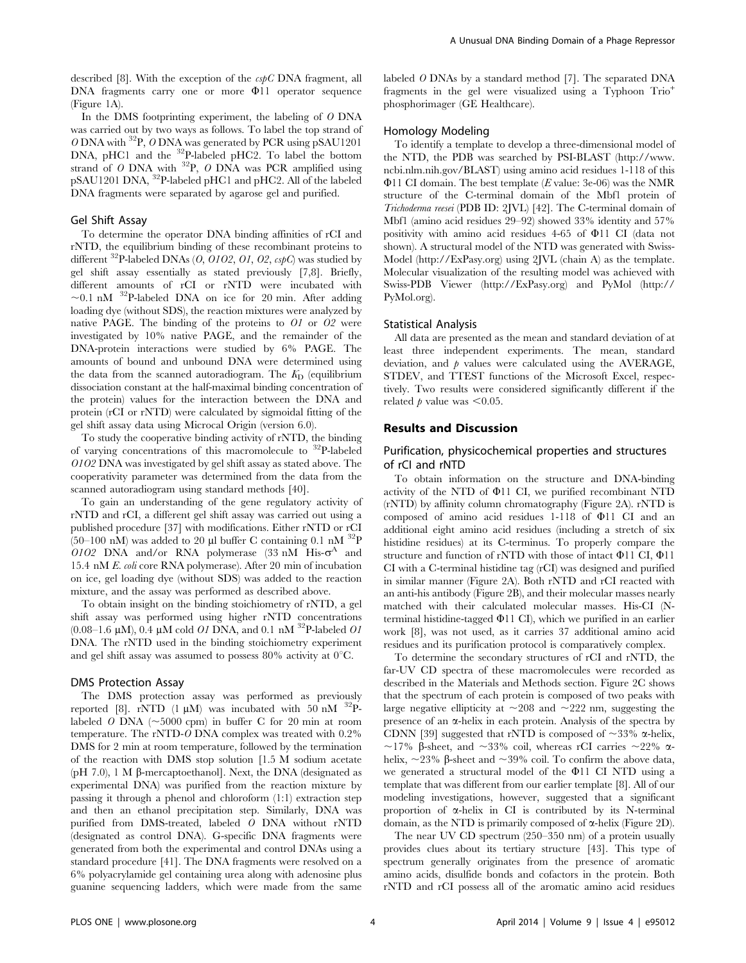described [8]. With the exception of the  $cspC$  DNA fragment, all DNA fragments carry one or more  $\Phi$ 11 operator sequence (Figure 1A).

In the DMS footprinting experiment, the labeling of O DNA was carried out by two ways as follows. To label the top strand of O DNA with <sup>32</sup>P, O DNA was generated by PCR using pSAU1201 DNA, pHC1 and the <sup>32</sup>P-labeled pHC2. To label the bottom strand of O DNA with  $^{32}P$ , O DNA was PCR amplified using pSAU1201 DNA, <sup>32</sup>P-labeled pHC1 and pHC2. All of the labeled DNA fragments were separated by agarose gel and purified.

# Gel Shift Assay

To determine the operator DNA binding affinities of rCI and rNTD, the equilibrium binding of these recombinant proteins to different  $^{32}P$ -labeled DNAs (*O*, *O1O2*, *O1*, *O2*, *cspC*) was studied by gel shift assay essentially as stated previously [7,8]. Briefly, different amounts of rCI or rNTD were incubated with  $\sim$ 0.1 nM  $^{32}$ P-labeled DNA on ice for 20 min. After adding loading dye (without SDS), the reaction mixtures were analyzed by native PAGE. The binding of the proteins to O1 or O2 were investigated by 10% native PAGE, and the remainder of the DNA-protein interactions were studied by 6% PAGE. The amounts of bound and unbound DNA were determined using the data from the scanned autoradiogram. The  $K<sub>D</sub>$  (equilibrium dissociation constant at the half-maximal binding concentration of the protein) values for the interaction between the DNA and protein (rCI or rNTD) were calculated by sigmoidal fitting of the gel shift assay data using Microcal Origin (version 6.0).

To study the cooperative binding activity of rNTD, the binding of varying concentrations of this macromolecule to  $32P$ -labeled O1O2 DNA was investigated by gel shift assay as stated above. The cooperativity parameter was determined from the data from the scanned autoradiogram using standard methods [40].

To gain an understanding of the gene regulatory activity of rNTD and rCI, a different gel shift assay was carried out using a published procedure [37] with modifications. Either rNTD or rCI (50–100 nM) was added to 20 µl buffer C containing 0.1 nM  $^{32}P$ 0102 DNA and/or RNA polymerase  $(33 \text{ nM} \text{ His-} \sigma^A$  and 15.4 nM E. coli core RNA polymerase). After 20 min of incubation on ice, gel loading dye (without SDS) was added to the reaction mixture, and the assay was performed as described above.

To obtain insight on the binding stoichiometry of rNTD, a gel shift assay was performed using higher rNTD concentrations  $(0.08-1.6 \mu M)$ , 0.4  $\mu$ M cold *O1* DNA, and 0.1 nM <sup>32</sup>P-labeled *O1* DNA. The rNTD used in the binding stoichiometry experiment and gel shift assay was assumed to possess 80% activity at  $0^{\circ}$ C.

#### DMS Protection Assay

The DMS protection assay was performed as previously reported [8]. rNTD (1  $\mu$ M) was incubated with 50 nM  $^{32}$ Plabeled O DNA  $(\sim 5000 \text{ cm})$  in buffer C for 20 min at room temperature. The rNTD-O DNA complex was treated with 0.2% DMS for 2 min at room temperature, followed by the termination of the reaction with DMS stop solution [1.5 M sodium acetate ( $pH$  7.0), 1 M  $\beta$ -mercaptoethanol]. Next, the DNA (designated as experimental DNA) was purified from the reaction mixture by passing it through a phenol and chloroform (1:1) extraction step and then an ethanol precipitation step. Similarly, DNA was purified from DMS-treated, labeled O DNA without rNTD (designated as control DNA). G-specific DNA fragments were generated from both the experimental and control DNAs using a standard procedure [41]. The DNA fragments were resolved on a 6% polyacrylamide gel containing urea along with adenosine plus guanine sequencing ladders, which were made from the same

labeled O DNAs by a standard method [7]. The separated DNA fragments in the gel were visualized using a Typhoon Trio<sup>+</sup> phosphorimager (GE Healthcare).

# Homology Modeling

To identify a template to develop a three-dimensional model of the NTD, the PDB was searched by PSI-BLAST (http://www. ncbi.nlm.nih.gov/BLAST) using amino acid residues 1-118 of this  $\Phi$ 11 CI domain. The best template (*E* value: 3e-06) was the NMR structure of the C-terminal domain of the Mbf1 protein of Trichoderma reesei (PDB ID: 2JVL) [42]. The C-terminal domain of Mbf1 (amino acid residues 29–92) showed 33% identity and 57% positivity with amino acid residues  $4-65$  of  $\Phi$ 11 CI (data not shown). A structural model of the NTD was generated with Swiss-Model (http://ExPasy.org) using 2JVL (chain A) as the template. Molecular visualization of the resulting model was achieved with Swiss-PDB Viewer (http://ExPasy.org) and PyMol (http:// PyMol.org).

# Statistical Analysis

All data are presented as the mean and standard deviation of at least three independent experiments. The mean, standard deviation, and  $p$  values were calculated using the AVERAGE, STDEV, and TTEST functions of the Microsoft Excel, respectively. Two results were considered significantly different if the related  $p$  value was  $\leq 0.05$ .

#### Results and Discussion

# Purification, physicochemical properties and structures of rCI and rNTD

To obtain information on the structure and DNA-binding activity of the NTD of  $\Phi$ 11 CI, we purified recombinant NTD (rNTD) by affinity column chromatography (Figure 2A). rNTD is composed of amino acid residues  $1-118$  of  $\Phi$ 11 CI and an additional eight amino acid residues (including a stretch of six histidine residues) at its C-terminus. To properly compare the structure and function of rNTD with those of intact  $\Phi$ 11 CI,  $\Phi$ 11 CI with a C-terminal histidine tag (rCI) was designed and purified in similar manner (Figure 2A). Both rNTD and rCI reacted with an anti-his antibody (Figure 2B), and their molecular masses nearly matched with their calculated molecular masses. His-CI (Nterminal histidine-tagged  $\Phi$ 11 CI, which we purified in an earlier work [8], was not used, as it carries 37 additional amino acid residues and its purification protocol is comparatively complex.

To determine the secondary structures of rCI and rNTD, the far-UV CD spectra of these macromolecules were recorded as described in the Materials and Methods section. Figure 2C shows that the spectrum of each protein is composed of two peaks with large negative ellipticity at  $\sim$ 208 and  $\sim$ 222 nm, suggesting the presence of an  $\alpha$ -helix in each protein. Analysis of the spectra by CDNN [39] suggested that rNTD is composed of  $\sim$ 33%  $\alpha$ -helix, ~17%  $\beta$ -sheet, and ~33% coil, whereas rCI carries ~22%  $\alpha$ helix,  $\sim$ 23%  $\beta$ -sheet and  $\sim$ 39% coil. To confirm the above data, we generated a structural model of the  $\Phi$ 11 CI NTD using a template that was different from our earlier template [8]. All of our modeling investigations, however, suggested that a significant proportion of  $\alpha$ -helix in CI is contributed by its N-terminal domain, as the NTD is primarily composed of a-helix (Figure 2D).

The near UV CD spectrum (250–350 nm) of a protein usually provides clues about its tertiary structure [43]. This type of spectrum generally originates from the presence of aromatic amino acids, disulfide bonds and cofactors in the protein. Both rNTD and rCI possess all of the aromatic amino acid residues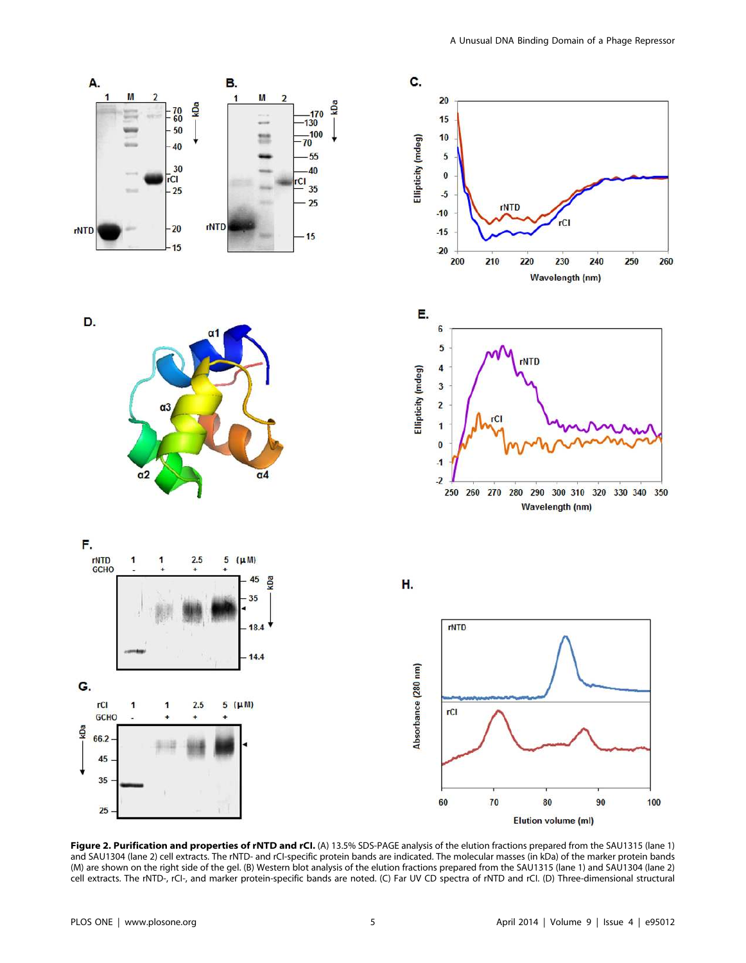

Figure 2. Purification and properties of rNTD and rCI. (A) 13.5% SDS-PAGE analysis of the elution fractions prepared from the SAU1315 (lane 1) and SAU1304 (lane 2) cell extracts. The rNTD- and rCI-specific protein bands are indicated. The molecular masses (in kDa) of the marker protein bands (M) are shown on the right side of the gel. (B) Western blot analysis of the elution fractions prepared from the SAU1315 (lane 1) and SAU1304 (lane 2) cell extracts. The rNTD-, rCI-, and marker protein-specific bands are noted. (C) Far UV CD spectra of rNTD and rCI. (D) Three-dimensional structural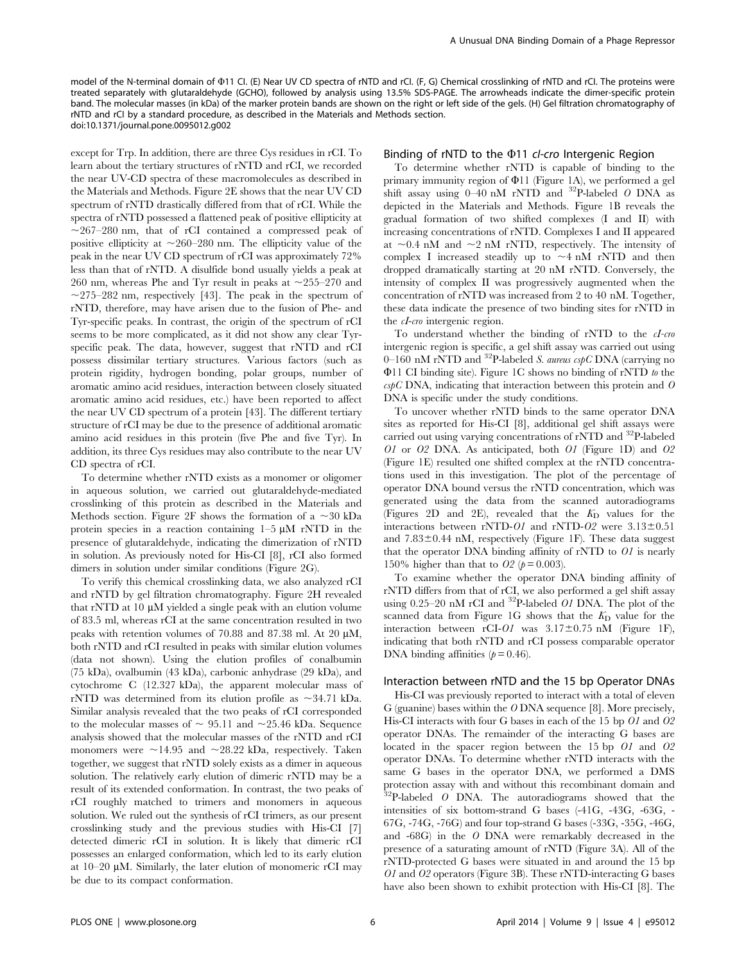model of the N-terminal domain of  $\Phi$ 11 Cl. (E) Near UV CD spectra of rNTD and rCl. (F, G) Chemical crosslinking of rNTD and rCl. The proteins were treated separately with glutaraldehyde (GCHO), followed by analysis using 13.5% SDS-PAGE. The arrowheads indicate the dimer-specific protein band. The molecular masses (in kDa) of the marker protein bands are shown on the right or left side of the gels. (H) Gel filtration chromatography of rNTD and rCI by a standard procedure, as described in the Materials and Methods section. doi:10.1371/journal.pone.0095012.g002

except for Trp. In addition, there are three Cys residues in rCI. To learn about the tertiary structures of rNTD and rCI, we recorded the near UV-CD spectra of these macromolecules as described in the Materials and Methods. Figure 2E shows that the near UV CD spectrum of rNTD drastically differed from that of rCI. While the spectra of rNTD possessed a flattened peak of positive ellipticity at  $\sim$ 267–280 nm, that of rCI contained a compressed peak of positive ellipticity at  $\sim$ 260–280 nm. The ellipticity value of the peak in the near UV CD spectrum of rCI was approximately 72% less than that of rNTD. A disulfide bond usually yields a peak at 260 nm, whereas Phe and Tyr result in peaks at  $\sim$ 255–270 and  $\sim$ 275–282 nm, respectively [43]. The peak in the spectrum of rNTD, therefore, may have arisen due to the fusion of Phe- and Tyr-specific peaks. In contrast, the origin of the spectrum of rCI seems to be more complicated, as it did not show any clear Tyrspecific peak. The data, however, suggest that rNTD and rCI possess dissimilar tertiary structures. Various factors (such as protein rigidity, hydrogen bonding, polar groups, number of aromatic amino acid residues, interaction between closely situated aromatic amino acid residues, etc.) have been reported to affect the near UV CD spectrum of a protein [43]. The different tertiary structure of rCI may be due to the presence of additional aromatic amino acid residues in this protein (five Phe and five Tyr). In addition, its three Cys residues may also contribute to the near UV CD spectra of rCI.

To determine whether rNTD exists as a monomer or oligomer in aqueous solution, we carried out glutaraldehyde-mediated crosslinking of this protein as described in the Materials and Methods section. Figure 2F shows the formation of a  $\sim$  30 kDa protein species in a reaction containing  $1-5 \mu M$  rNTD in the presence of glutaraldehyde, indicating the dimerization of rNTD in solution. As previously noted for His-CI [8], rCI also formed dimers in solution under similar conditions (Figure 2G).

To verify this chemical crosslinking data, we also analyzed rCI and rNTD by gel filtration chromatography. Figure 2H revealed that rNTD at 10  $\mu$ M yielded a single peak with an elution volume of 83.5 ml, whereas rCI at the same concentration resulted in two peaks with retention volumes of  $70.88$  and  $87.38$  ml. At  $20 \mu M$ , both rNTD and rCI resulted in peaks with similar elution volumes (data not shown). Using the elution profiles of conalbumin (75 kDa), ovalbumin (43 kDa), carbonic anhydrase (29 kDa), and cytochrome C (12.327 kDa), the apparent molecular mass of rNTD was determined from its elution profile as  $\sim$ 34.71 kDa. Similar analysis revealed that the two peaks of rCI corresponded to the molecular masses of  $\sim$  95.11 and  $\sim$ 25.46 kDa. Sequence analysis showed that the molecular masses of the rNTD and rCI monomers were  $\sim$ 14.95 and  $\sim$ 28.22 kDa, respectively. Taken together, we suggest that rNTD solely exists as a dimer in aqueous solution. The relatively early elution of dimeric rNTD may be a result of its extended conformation. In contrast, the two peaks of rCI roughly matched to trimers and monomers in aqueous solution. We ruled out the synthesis of rCI trimers, as our present crosslinking study and the previous studies with His-CI [7] detected dimeric rCI in solution. It is likely that dimeric rCI possesses an enlarged conformation, which led to its early elution at  $10-20 \mu M$ . Similarly, the later elution of monomeric rCI may be due to its compact conformation.

## Binding of rNTD to the  $\Phi$ 11 cI-cro Intergenic Region

To determine whether rNTD is capable of binding to the primary immunity region of  $\Phi$ 11 (Figure 1A), we performed a gel shift assay using  $0-40$  nM rNTD and  $32$ P-labeled O DNA as depicted in the Materials and Methods. Figure 1B reveals the gradual formation of two shifted complexes (I and II) with increasing concentrations of rNTD. Complexes I and II appeared at  $\sim$ 0.4 nM and  $\sim$ 2 nM rNTD, respectively. The intensity of complex I increased steadily up to  $\sim$  4 nM rNTD and then dropped dramatically starting at 20 nM rNTD. Conversely, the intensity of complex II was progressively augmented when the concentration of rNTD was increased from 2 to 40 nM. Together, these data indicate the presence of two binding sites for rNTD in the cI-cro intergenic region.

To understand whether the binding of rNTD to the cI-cro intergenic region is specific, a gel shift assay was carried out using 0–160 nM rNTD and <sup>32</sup>P-labeled S. aureus cspC DNA (carrying no  $\Phi$ 11 CI binding site). Figure 1C shows no binding of rNTD to the  $cspC$  DNA, indicating that interaction between this protein and  $O$ DNA is specific under the study conditions.

To uncover whether rNTD binds to the same operator DNA sites as reported for His-CI [8], additional gel shift assays were carried out using varying concentrations of rNTD and <sup>32</sup>P-labeled O1 or O2 DNA. As anticipated, both O1 (Figure 1D) and O2 (Figure 1E) resulted one shifted complex at the rNTD concentrations used in this investigation. The plot of the percentage of operator DNA bound versus the rNTD concentration, which was generated using the data from the scanned autoradiograms (Figures 2D and 2E), revealed that the  $K_D$  values for the interactions between rNTD- $O1$  and rNTD- $O2$  were  $3.13\pm0.51$ and  $7.83\pm0.44$  nM, respectively (Figure 1F). These data suggest that the operator DNA binding affinity of rNTD to  $O1$  is nearly 150% higher than that to  $O2 (p = 0.003)$ .

To examine whether the operator DNA binding affinity of rNTD differs from that of rCI, we also performed a gel shift assay using 0.25–20 nM rCI and  $^{32}$ P-labeled *O1* DNA. The plot of the scanned data from Figure 1G shows that the  $K<sub>D</sub>$  value for the interaction between rCI-O1 was  $3.17 \pm 0.75$  nM (Figure 1F), indicating that both rNTD and rCI possess comparable operator DNA binding affinities  $(p = 0.46)$ .

#### Interaction between rNTD and the 15 bp Operator DNAs

His-CI was previously reported to interact with a total of eleven G (guanine) bases within the O DNA sequence [8]. More precisely, His-CI interacts with four G bases in each of the 15 bp O1 and O2 operator DNAs. The remainder of the interacting G bases are located in the spacer region between the 15 bp O1 and O2 operator DNAs. To determine whether rNTD interacts with the same G bases in the operator DNA, we performed a DMS protection assay with and without this recombinant domain and  ${}^{2}P$ -labeled O DNA. The autoradiograms showed that the intensities of six bottom-strand G bases (-41G, -43G, -63G, - 67G, -74G, -76G) and four top-strand G bases (-33G, -35G, -46G, and -68G) in the O DNA were remarkably decreased in the presence of a saturating amount of rNTD (Figure 3A). All of the rNTD-protected G bases were situated in and around the 15 bp O1 and O2 operators (Figure 3B). These rNTD-interacting G bases have also been shown to exhibit protection with His-CI [8]. The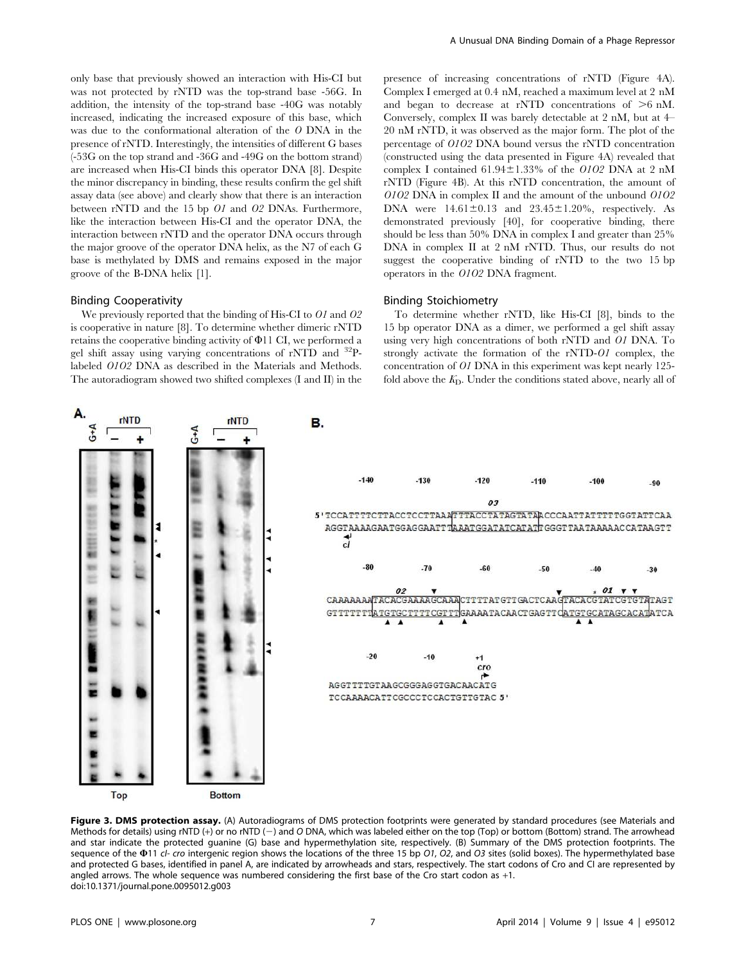only base that previously showed an interaction with His-CI but was not protected by rNTD was the top-strand base -56G. In addition, the intensity of the top-strand base -40G was notably increased, indicating the increased exposure of this base, which was due to the conformational alteration of the O DNA in the presence of rNTD. Interestingly, the intensities of different G bases (-53G on the top strand and -36G and -49G on the bottom strand) are increased when His-CI binds this operator DNA [8]. Despite the minor discrepancy in binding, these results confirm the gel shift assay data (see above) and clearly show that there is an interaction between rNTD and the 15 bp O1 and O2 DNAs. Furthermore, like the interaction between His-CI and the operator DNA, the interaction between rNTD and the operator DNA occurs through the major groove of the operator DNA helix, as the N7 of each G base is methylated by DMS and remains exposed in the major groove of the B-DNA helix [1].

#### Binding Cooperativity

 $rNTD$ 

We previously reported that the binding of His-CI to O1 and O2 is cooperative in nature [8]. To determine whether dimeric rNTD retains the cooperative binding activity of W11 CI, we performed a gel shift assay using varying concentrations of rNTD and <sup>32</sup>Plabeled O1O2 DNA as described in the Materials and Methods. The autoradiogram showed two shifted complexes (I and II) in the

 $rNTD$ 

**B.** 

presence of increasing concentrations of rNTD (Figure 4A). Complex I emerged at 0.4 nM, reached a maximum level at 2 nM and began to decrease at rNTD concentrations of  $\geq 6$  nM. Conversely, complex II was barely detectable at 2 nM, but at 4– 20 nM rNTD, it was observed as the major form. The plot of the percentage of O1O2 DNA bound versus the rNTD concentration (constructed using the data presented in Figure 4A) revealed that complex I contained  $61.94\pm1.33\%$  of the O1O2 DNA at 2 nM rNTD (Figure 4B). At this rNTD concentration, the amount of O1O2 DNA in complex II and the amount of the unbound O1O2 DNA were  $14.61\pm0.13$  and  $23.45\pm1.20\%$ , respectively. As demonstrated previously [40], for cooperative binding, there should be less than 50% DNA in complex I and greater than 25% DNA in complex II at 2 nM rNTD. Thus, our results do not suggest the cooperative binding of rNTD to the two 15 bp operators in the O1O2 DNA fragment.

#### Binding Stoichiometry

To determine whether rNTD, like His-CI [8], binds to the 15 bp operator DNA as a dimer, we performed a gel shift assay using very high concentrations of both rNTD and O1 DNA. To strongly activate the formation of the rNTD-O1 complex, the concentration of O1 DNA in this experiment was kept nearly 125 fold above the  $K<sub>D</sub>$ . Under the conditions stated above, nearly all of



Methods for details) using rNTD (+) or no rNTD (-) and O DNA, which was labeled either on the top (Top) or bottom (Bottom) strand. The arrowhead and star indicate the protected guanine (G) base and hypermethylation site, respectively. (B) Summary of the DMS protection footprints. The sequence of the  $\Phi$ 11 cl- cro intergenic region shows the locations of the three 15 bp O1, O2, and O3 sites (solid boxes). The hypermethylated base and protected G bases, identified in panel A, are indicated by arrowheads and stars, respectively. The start codons of Cro and CI are represented by angled arrows. The whole sequence was numbered considering the first base of the Cro start codon as +1. doi:10.1371/journal.pone.0095012.g003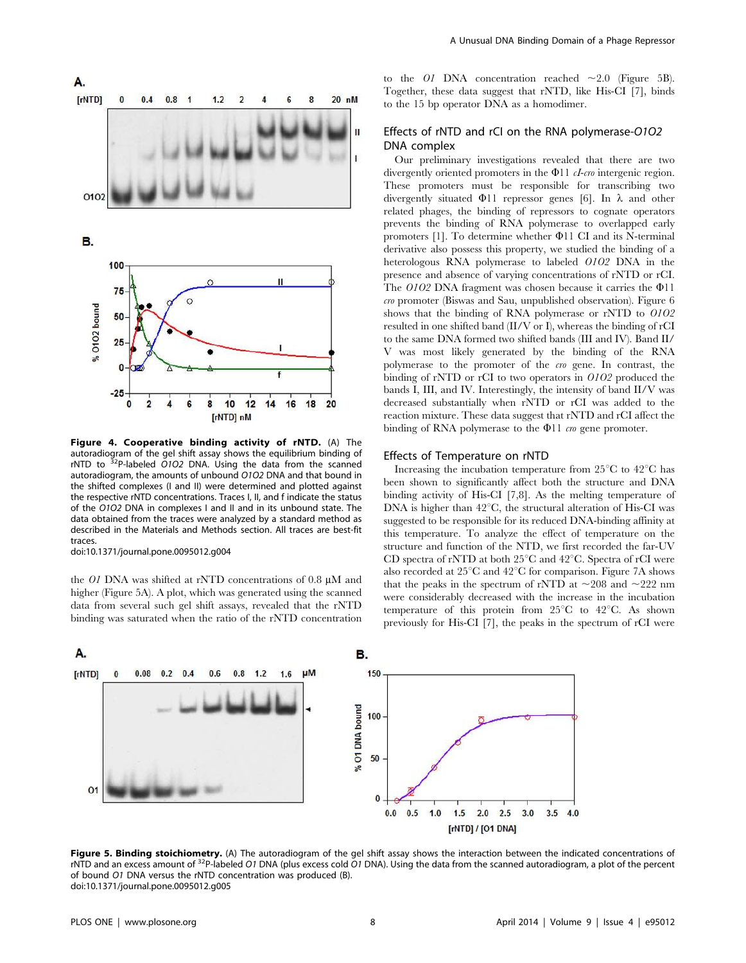

Figure 4. Cooperative binding activity of rNTD. (A) The autoradiogram of the gel shift assay shows the equilibrium binding of rNTD to  $32P$ -labeled O1O2 DNA. Using the data from the scanned autoradiogram, the amounts of unbound O1O2 DNA and that bound in the shifted complexes (I and II) were determined and plotted against the respective rNTD concentrations. Traces I, II, and f indicate the status of the O1O2 DNA in complexes I and II and in its unbound state. The data obtained from the traces were analyzed by a standard method as described in the Materials and Methods section. All traces are best-fit traces.

doi:10.1371/journal.pone.0095012.g004

the O1 DNA was shifted at rNTD concentrations of 0.8  $\mu$ M and higher (Figure 5A). A plot, which was generated using the scanned data from several such gel shift assays, revealed that the rNTD binding was saturated when the ratio of the rNTD concentration to the O1 DNA concentration reached  $\sim$  2.0 (Figure 5B). Together, these data suggest that rNTD, like His-CI [7], binds to the 15 bp operator DNA as a homodimer.

# Effects of rNTD and rCI on the RNA polymerase-O1O2 DNA complex

Our preliminary investigations revealed that there are two divergently oriented promoters in the  $\Phi$ 11 *cI-cro* intergenic region. These promoters must be responsible for transcribing two divergently situated  $\Phi$ 11 repressor genes [6]. In  $\lambda$  and other related phages, the binding of repressors to cognate operators prevents the binding of RNA polymerase to overlapped early promoters  $[1]$ . To determine whether  $\Phi$ 11 CI and its N-terminal derivative also possess this property, we studied the binding of a heterologous RNA polymerase to labeled O1O2 DNA in the presence and absence of varying concentrations of rNTD or rCI. The  $0102$  DNA fragment was chosen because it carries the  $\Phi$ 11 cro promoter (Biswas and Sau, unpublished observation). Figure 6 shows that the binding of RNA polymerase or rNTD to O1O2 resulted in one shifted band (II/V or I), whereas the binding of rCI to the same DNA formed two shifted bands (III and IV). Band II/ V was most likely generated by the binding of the RNA polymerase to the promoter of the cro gene. In contrast, the binding of rNTD or rCI to two operators in O1O2 produced the bands I, III, and IV. Interestingly, the intensity of band II/V was decreased substantially when rNTD or rCI was added to the reaction mixture. These data suggest that rNTD and rCI affect the binding of RNA polymerase to the  $\Phi$ 11 *cro* gene promoter.

### Effects of Temperature on rNTD

Increasing the incubation temperature from  $25^{\circ}$ C to  $42^{\circ}$ C has been shown to significantly affect both the structure and DNA binding activity of His-CI [7,8]. As the melting temperature of DNA is higher than  $42^{\circ}$ C, the structural alteration of His-CI was suggested to be responsible for its reduced DNA-binding affinity at this temperature. To analyze the effect of temperature on the structure and function of the NTD, we first recorded the far-UV CD spectra of rNTD at both  $25^{\circ}$ C and  $42^{\circ}$ C. Spectra of rCI were also recorded at  $25^{\circ}$ C and  $42^{\circ}$ C for comparison. Figure 7A shows that the peaks in the spectrum of rNTD at  $\sim$ 208 and  $\sim$ 222 nm were considerably decreased with the increase in the incubation temperature of this protein from  $25^{\circ}$ C to  $42^{\circ}$ C. As shown previously for His-CI [7], the peaks in the spectrum of rCI were



Figure 5. Binding stoichiometry. (A) The autoradiogram of the gel shift assay shows the interaction between the indicated concentrations of rNTD and an excess amount of  $32P$ -labeled O1 DNA (plus excess cold O1 DNA). Using the data from the scanned autoradiogram, a plot of the percent of bound O1 DNA versus the rNTD concentration was produced (B). doi:10.1371/journal.pone.0095012.g005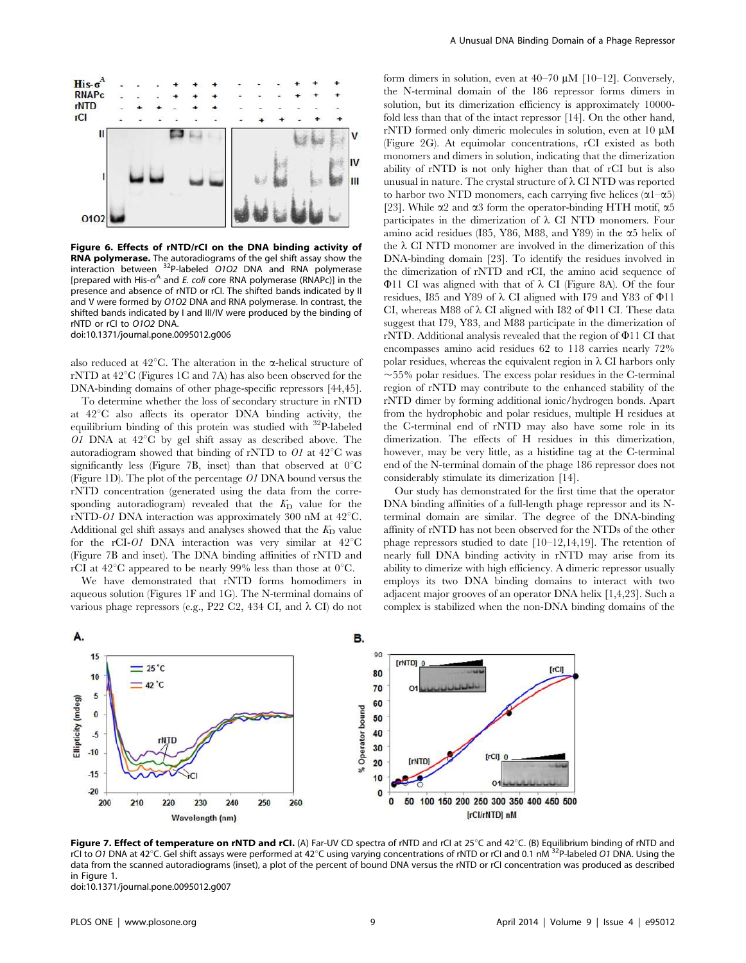

Figure 6. Effects of rNTD/rCI on the DNA binding activity of RNA polymerase. The autoradiograms of the gel shift assay show the interaction between <sup>32</sup>P-labeled O1O2 DNA and RNA polymerase [prepared with His- $\sigma^A$  and E. coli core RNA polymerase (RNAPc)] in the presence and absence of rNTD or rCI. The shifted bands indicated by II and V were formed by O1O2 DNA and RNA polymerase. In contrast, the shifted bands indicated by I and III/IV were produced by the binding of rNTD or rCI to O1O2 DNA. doi:10.1371/journal.pone.0095012.g006

also reduced at 42 $^{\circ}$ C. The alteration in the  $\alpha$ -helical structure of rNTD at  $42^{\circ}$ C (Figures 1C and 7A) has also been observed for the DNA-binding domains of other phage-specific repressors [44,45].

To determine whether the loss of secondary structure in rNTD at  $42^{\circ}$ C also affects its operator DNA binding activity, the equilibrium binding of this protein was studied with  $32P$ -labeled O1 DNA at  $42^{\circ}$ C by gel shift assay as described above. The autoradiogram showed that binding of rNTD to  $O1$  at  $42^{\circ}$ C was significantly less (Figure 7B, inset) than that observed at  $0^{\circ}$ C (Figure 1D). The plot of the percentage O1 DNA bound versus the rNTD concentration (generated using the data from the corresponding autoradiogram) revealed that the  $K<sub>D</sub>$  value for the rNTD-O1 DNA interaction was approximately 300 nM at  $42^{\circ}$ C. Additional gel shift assays and analyses showed that the  $K<sub>D</sub>$  value for the rCI-O1 DNA interaction was very similar at  $42^{\circ}$ C (Figure 7B and inset). The DNA binding affinities of rNTD and rCI at 42<sup>o</sup>C appeared to be nearly 99% less than those at 0<sup>o</sup>C.

We have demonstrated that rNTD forms homodimers in aqueous solution (Figures 1F and 1G). The N-terminal domains of various phage repressors (e.g., P22 C2, 434 CI, and  $\lambda$  CI) do not form dimers in solution, even at  $40-70 \mu M$  [10–12]. Conversely, the N-terminal domain of the 186 repressor forms dimers in solution, but its dimerization efficiency is approximately 10000 fold less than that of the intact repressor [14]. On the other hand, rNTD formed only dimeric molecules in solution, even at  $10 \mu M$ (Figure 2G). At equimolar concentrations, rCI existed as both monomers and dimers in solution, indicating that the dimerization ability of rNTD is not only higher than that of rCI but is also unusual in nature. The crystal structure of  $\lambda$  CI NTD was reported to harbor two NTD monomers, each carrying five helices  $(\alpha1-\alpha5)$ [23]. While  $\alpha$ 2 and  $\alpha$ 3 form the operator-binding HTH motif,  $\alpha$ 5 participates in the dimerization of  $\lambda$  CI NTD monomers. Four amino acid residues (I85, Y86, M88, and Y89) in the  $\alpha$ 5 helix of the  $\lambda$  CI NTD monomer are involved in the dimerization of this DNA-binding domain [23]. To identify the residues involved in the dimerization of rNTD and rCI, the amino acid sequence of  $\Phi$ 11 CI was aligned with that of  $\lambda$  CI (Figure 8A). Of the four residues, I85 and Y89 of  $\lambda$  CI aligned with I79 and Y83 of  $\Phi$ 11 CI, whereas M88 of  $\lambda$  CI aligned with I82 of  $\Phi$ 11 CI. These data suggest that I79, Y83, and M88 participate in the dimerization of rNTD. Additional analysis revealed that the region of  $\Phi$ 11 CI that encompasses amino acid residues 62 to 118 carries nearly 72% polar residues, whereas the equivalent region in  $\lambda$  CI harbors only  $\sim$ 55% polar residues. The excess polar residues in the C-terminal region of rNTD may contribute to the enhanced stability of the rNTD dimer by forming additional ionic/hydrogen bonds. Apart from the hydrophobic and polar residues, multiple H residues at the C-terminal end of rNTD may also have some role in its dimerization. The effects of H residues in this dimerization, however, may be very little, as a histidine tag at the C-terminal end of the N-terminal domain of the phage 186 repressor does not considerably stimulate its dimerization [14].

Our study has demonstrated for the first time that the operator DNA binding affinities of a full-length phage repressor and its Nterminal domain are similar. The degree of the DNA-binding affinity of rNTD has not been observed for the NTDs of the other phage repressors studied to date [10–12,14,19]. The retention of nearly full DNA binding activity in rNTD may arise from its ability to dimerize with high efficiency. A dimeric repressor usually employs its two DNA binding domains to interact with two adjacent major grooves of an operator DNA helix [1,4,23]. Such a complex is stabilized when the non-DNA binding domains of the



Figure 7. Effect of temperature on rNTD and rCI. (A) Far-UV CD spectra of rNTD and rCI at 25°C and 42°C. (B) Equilibrium binding of rNTD and rCI to O1 DNA at 42<sup>°</sup>C. Gel shift assays were performed at 42<sup>°</sup>C using varying concentrations of rNTD or rCI and 0.1 nM  $32P$ -labeled O1 DNA. Using the data from the scanned autoradiograms (inset), a plot of the percent of bound DNA versus the rNTD or rCI concentration was produced as described in Figure 1. doi:10.1371/journal.pone.0095012.g007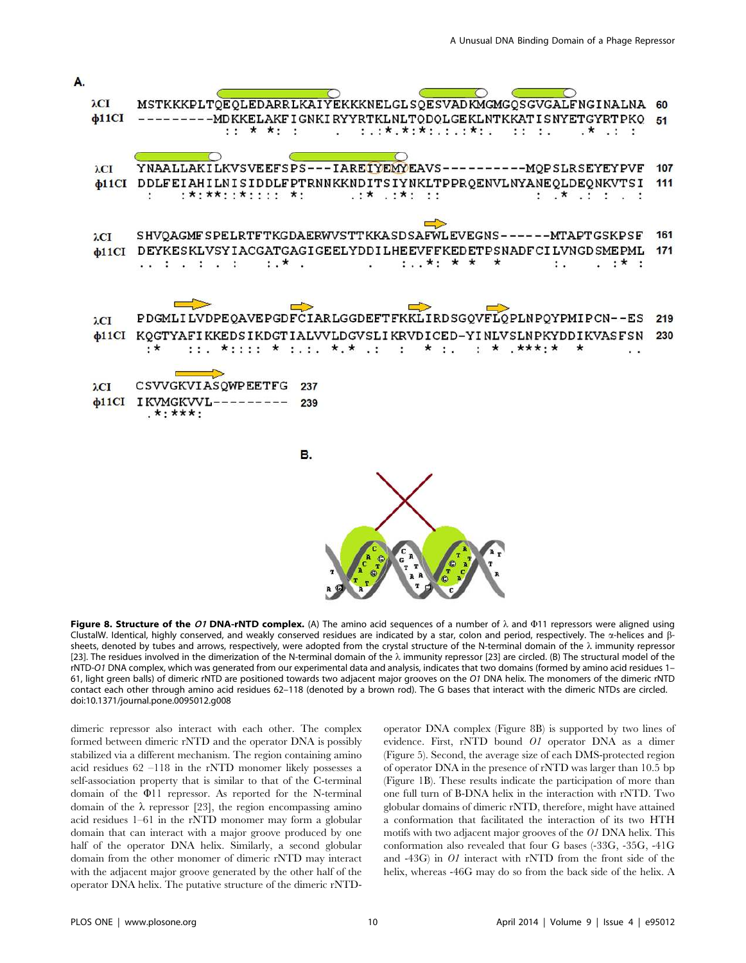

Figure 8. Structure of the O1 DNA-rNTD complex. (A) The amino acid sequences of a number of  $\lambda$  and  $\Phi$ 11 repressors were aligned using ClustalW. Identical, highly conserved, and weakly conserved residues are indicated by a star, colon and period, respectively. The  $\alpha$ -helices and  $\beta$ sheets, denoted by tubes and arrows, respectively, were adopted from the crystal structure of the N-terminal domain of the  $\lambda$  immunity repressor [23]. The residues involved in the dimerization of the N-terminal domain of the  $\lambda$  immunity repressor [23] are circled. (B) The structural model of the rNTD-O1 DNA complex, which was generated from our experimental data and analysis, indicates that two domains (formed by amino acid residues 1– 61, light green balls) of dimeric rNTD are positioned towards two adjacent major grooves on the O1 DNA helix. The monomers of the dimeric rNTD contact each other through amino acid residues 62–118 (denoted by a brown rod). The G bases that interact with the dimeric NTDs are circled. doi:10.1371/journal.pone.0095012.g008

dimeric repressor also interact with each other. The complex formed between dimeric rNTD and the operator DNA is possibly stabilized via a different mechanism. The region containing amino acid residues 62 –118 in the rNTD monomer likely possesses a self-association property that is similar to that of the C-terminal domain of the  $\Phi$ 11 repressor. As reported for the N-terminal domain of the  $\lambda$  repressor [23], the region encompassing amino acid residues 1–61 in the rNTD monomer may form a globular domain that can interact with a major groove produced by one half of the operator DNA helix. Similarly, a second globular domain from the other monomer of dimeric rNTD may interact with the adjacent major groove generated by the other half of the operator DNA helix. The putative structure of the dimeric rNTD-

operator DNA complex (Figure 8B) is supported by two lines of evidence. First, rNTD bound O1 operator DNA as a dimer (Figure 5). Second, the average size of each DMS-protected region of operator DNA in the presence of rNTD was larger than 10.5 bp (Figure 1B). These results indicate the participation of more than one full turn of B-DNA helix in the interaction with rNTD. Two globular domains of dimeric rNTD, therefore, might have attained a conformation that facilitated the interaction of its two HTH motifs with two adjacent major grooves of the O1 DNA helix. This conformation also revealed that four G bases (-33G, -35G, -41G and -43G) in O1 interact with rNTD from the front side of the helix, whereas -46G may do so from the back side of the helix. A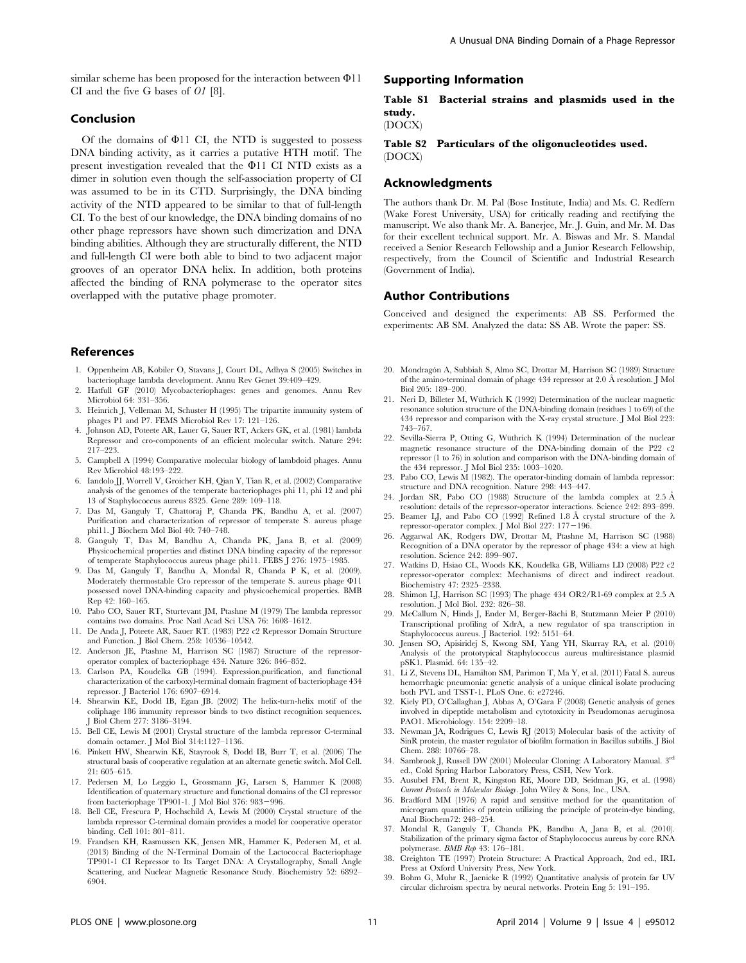similar scheme has been proposed for the interaction between  $\Phi$ 11 CI and the five G bases of O1 [8].

# Conclusion

Of the domains of  $\Phi$ 11 CI, the NTD is suggested to possess DNA binding activity, as it carries a putative HTH motif. The present investigation revealed that the  $\Phi$ 11 CI NTD exists as a dimer in solution even though the self-association property of CI was assumed to be in its CTD. Surprisingly, the DNA binding activity of the NTD appeared to be similar to that of full-length CI. To the best of our knowledge, the DNA binding domains of no other phage repressors have shown such dimerization and DNA binding abilities. Although they are structurally different, the NTD and full-length CI were both able to bind to two adjacent major grooves of an operator DNA helix. In addition, both proteins affected the binding of RNA polymerase to the operator sites overlapped with the putative phage promoter.

#### References

- 1. Oppenheim AB, Kobiler O, Stavans J, Court DL, Adhya S (2005) Switches in bacteriophage lambda development. Annu Rev Genet 39:409–429.
- 2. Hatfull GF (2010) Mycobacteriophages: genes and genomes. Annu Rev Microbiol 64: 331–356.
- 3. Heinrich J, Velleman M, Schuster H (1995) The tripartite immunity system of phages P1 and P7. FEMS Microbiol Rev 17: 121–126.
- 4. Johnson AD, Poteete AR, Lauer G, Sauer RT, Ackers GK, et al. (1981) lambda Repressor and cro-components of an efficient molecular switch. Nature 294:  $217 - 223$
- 5. Campbell A (1994) Comparative molecular biology of lambdoid phages. Annu Rev Microbiol 48:193–222.
- 6. Iandolo JJ, Worrell V, Groicher KH, Qian Y, Tian R, et al. (2002) Comparative analysis of the genomes of the temperate bacteriophages phi 11, phi 12 and phi 13 of Staphylococcus aureus 8325. Gene 289: 109–118.
- 7. Das M, Ganguly T, Chattoraj P, Chanda PK, Bandhu A, et al. (2007) Purification and characterization of repressor of temperate S. aureus phage phi11. J Biochem Mol Biol 40: 740–748.
- 8. Ganguly T, Das M, Bandhu A, Chanda PK, Jana B, et al. (2009) Physicochemical properties and distinct DNA binding capacity of the repressor of temperate Staphylococcus aureus phage phi11. FEBS J 276: 1975–1985.
- 9. Das M, Ganguly T, Bandhu A, Mondal R, Chanda P K, et al. (2009). Moderately thermostable Cro repressor of the temperate S. aureus phage  $\Phi11$ possessed novel DNA-binding capacity and physicochemical properties. BMB Rep 42: 160–165.
- 10. Pabo CO, Sauer RT, Sturtevant JM, Ptashne M (1979) The lambda repressor contains two domains. Proc Natl Acad Sci USA 76: 1608–1612.
- 11. De Anda J, Poteete AR, Sauer RT. (1983) P22 c2 Repressor Domain Structure and Function. J Biol Chem. 258: 10536–10542.
- 12. Anderson JE, Ptashne M, Harrison SC (1987) Structure of the repressoroperator complex of bacteriophage 434. Nature 326: 846–852.
- 13. Carlson PA, Koudelka GB (1994). Expression,purification, and functional characterization of the carboxyl-terminal domain fragment of bacteriophage 434 repressor. J Bacteriol 176: 6907–6914.
- 14. Shearwin KE, Dodd IB, Egan JB. (2002) The helix-turn-helix motif of the coliphage 186 immunity repressor binds to two distinct recognition sequences. J Biol Chem 277: 3186–3194.
- 15. Bell CE, Lewis M (2001) Crystal structure of the lambda repressor C-terminal domain octamer. J Mol Biol 314:1127–1136.
- 16. Pinkett HW, Shearwin KE, Stayrook S, Dodd IB, Burr T, et al. (2006) The structural basis of cooperative regulation at an alternate genetic switch. Mol Cell. 21: 605–615.
- 17. Pedersen M, Lo Leggio L, Grossmann JG, Larsen S, Hammer K (2008) Identification of quaternary structure and functional domains of the CI repressor from bacteriophage TP901-1. J Mol Biol 376: 983-996.
- 18. Bell CE, Frescura P, Hochschild A, Lewis M (2000) Crystal structure of the lambda repressor C-terminal domain provides a model for cooperative operator binding. Cell 101: 801–811.
- 19. Frandsen KH, Rasmussen KK, Jensen MR, Hammer K, Pedersen M, et al. (2013) Binding of the N-Terminal Domain of the Lactococcal Bacteriophage TP901-1 CI Repressor to Its Target DNA: A Crystallography, Small Angle Scattering, and Nuclear Magnetic Resonance Study. Biochemistry 52: 6892– 6904.

# Supporting Information

# Table S1 Bacterial strains and plasmids used in the study.

(DOCX)

Table S2 Particulars of the oligonucleotides used. (DOCX)

#### Acknowledgments

The authors thank Dr. M. Pal (Bose Institute, India) and Ms. C. Redfern (Wake Forest University, USA) for critically reading and rectifying the manuscript. We also thank Mr. A. Banerjee, Mr. J. Guin, and Mr. M. Das for their excellent technical support. Mr. A. Biswas and Mr. S. Mandal received a Senior Research Fellowship and a Junior Research Fellowship, respectively, from the Council of Scientific and Industrial Research (Government of India).

# Author Contributions

Conceived and designed the experiments: AB SS. Performed the experiments: AB SM. Analyzed the data: SS AB. Wrote the paper: SS.

- 20. Mondragón A, Subbiah S, Almo SC, Drottar M, Harrison SC (1989) Structure of the amino-terminal domain of phage 434 repressor at 2.0 Å resolution. J Mol Biol 205: 189–200.
- 21. Neri D, Billeter M, Wüthrich K (1992) Determination of the nuclear magnetic resonance solution structure of the DNA-binding domain (residues 1 to 69) of the 434 repressor and comparison with the X-ray crystal structure. J Mol Biol 223: 743–767.
- 22. Sevilla-Sierra P, Otting G, Wüthrich K (1994) Determination of the nuclear magnetic resonance structure of the DNA-binding domain of the P22 c2 repressor (1 to 76) in solution and comparison with the DNA-binding domain of the 434 repressor. J Mol Biol 235: 1003–1020.
- 23. Pabo CO, Lewis M (1982). The operator-binding domain of lambda repressor: structure and DNA recognition. Nature 298: 443–447.
- 24. Jordan SR, Pabo CO (1988) Structure of the lambda complex at 2.5 Å resolution: details of the repressor-operator interactions. Science 242: 893–899.
- 25. Beamer LJ, and Pabo CO (1992) Refined 1.8 Å crystal structure of the  $\lambda$ repressor-operator complex. J Mol Biol 227:  $177-196$ .
- 26. Aggarwal AK, Rodgers DW, Drottar M, Ptashne M, Harrison SC (1988) Recognition of a DNA operator by the repressor of phage 434: a view at high resolution. Science 242: 899–907.
- 27. Watkins D, Hsiao CL, Woods KK, Koudelka GB, Williams LD (2008) P22 c2 repressor-operator complex: Mechanisms of direct and indirect readout. Biochemistry 47: 2325–2338.
- 28. Shimon LJ, Harrison SC (1993) The phage 434 OR2/R1-69 complex at 2.5 A resolution. J Mol Biol. 232: 826–38.
- 29. McCallum N, Hinds J, Ender M, Berger-Bächi B, Stutzmann Meier P (2010) Transcriptional profiling of XdrA, a new regulator of spa transcription in Staphylococcus aureus. J Bacteriol. 192: 5151–64.
- 30. Jensen SO, Apisiridej S, Kwong SM, Yang YH, Skurray RA, et al. (2010) Analysis of the prototypical Staphylococcus aureus multiresistance plasmid pSK1. Plasmid. 64: 135–42.
- 31. Li Z, Stevens DL, Hamilton SM, Parimon T, Ma Y, et al. (2011) Fatal S. aureus hemorrhagic pneumonia: genetic analysis of a unique clinical isolate producing both PVL and TSST-1. PLoS One. 6: e27246.
- 32. Kiely PD, O'Callaghan J, Abbas A, O'Gara F (2008) Genetic analysis of genes involved in dipeptide metabolism and cytotoxicity in Pseudomonas aeruginosa PAO1. Microbiology. 154: 2209–18.
- 33. Newman JA, Rodrigues C, Lewis RJ (2013) Molecular basis of the activity of SinR protein, the master regulator of biofilm formation in Bacillus subtilis. J Biol Chem. 288: 10766–78.
- 34. Sambrook J, Russell DW (2001) Molecular Cloning: A Laboratory Manual. 3rd ed., Cold Spring Harbor Laboratory Press, CSH, New York.
- 35. Ausubel FM, Brent R, Kingston RE, Moore DD, Seidman JG, et al. (1998) Current Protocols in Molecular Biology. John Wiley & Sons, Inc., USA.
- 36. Bradford MM (1976) A rapid and sensitive method for the quantitation of microgram quantities of protein utilizing the principle of protein-dye binding, Anal Biochem72: 248–254.
- 37. Mondal R, Ganguly T, Chanda PK, Bandhu A, Jana B, et al. (2010). Stabilization of the primary sigma factor of Staphylococcus aureus by core RNA polymerase. BMB Rep 43: 176–181.
- 38. Creighton TE (1997) Protein Structure: A Practical Approach, 2nd ed., IRL Press at Oxford University Press, New York.
- 39. Bohm G, Muhr R, Jaenicke R (1992) Quantitative analysis of protein far UV circular dichroism spectra by neural networks. Protein Eng 5: 191–195.